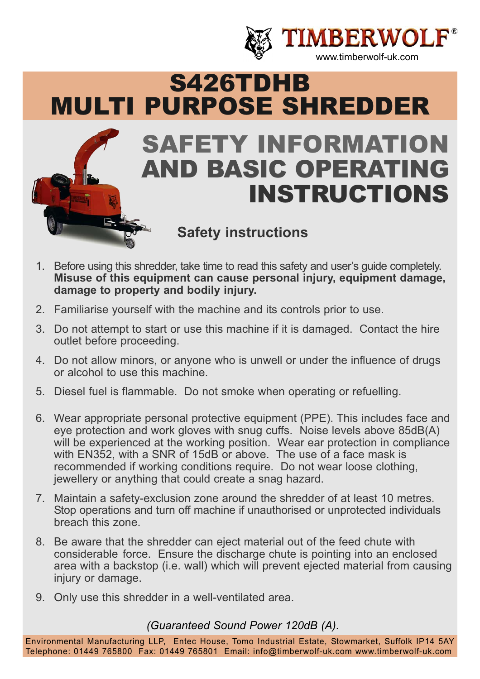

# S426TDHB MULTI PURPOSE SHREDDER SAFETY INFORMATION AND BASIC OPERATING INSTRUCTIONS **Safety instructions**

- 1. Before using this shredder, take time to read this safety and user's guide completely. **Misuse of this equipment can cause personal injury, equipment damage, damage to property and bodily injury.**
- 2. Familiarise yourself with the machine and its controls prior to use.
- 3. Do not attempt to start or use this machine if it is damaged. Contact the hire outlet before proceeding.
- 4. Do not allow minors, or anyone who is unwell or under the influence of drugs or alcohol to use this machine.
- 5. Diesel fuel is flammable. Do not smoke when operating or refuelling.
- 6. Wear appropriate personal protective equipment (PPE). This includes face and eye protection and work gloves with snug cuffs. Noise levels above 85dB(A) will be experienced at the working position. Wear ear protection in compliance with EN352, with a SNR of 15dB or above. The use of a face mask is recommended if working conditions require. Do not wear loose clothing, jewellery or anything that could create a snag hazard.
- 7. Maintain a safety-exclusion zone around the shredder of at least 10 metres. Stop operations and turn off machine if unauthorised or unprotected individuals breach this zone.
- 8. Be aware that the shredder can eject material out of the feed chute with considerable force. Ensure the discharge chute is pointing into an enclosed area with a backstop (i.e. wall) which will prevent ejected material from causing injury or damage.
- 9. Only use this shredder in a well-ventilated area.

*(Guaranteed Sound Power 120dB (A).*

Environmental Manufacturing LLP, Entec House, Tomo Industrial Estate, Stowmarket, Suffolk IP14 5AY Telephone: 01449 765800 Fax: 01449 765801 Email: info@timberwolf-uk.com www.timberwolf-uk.com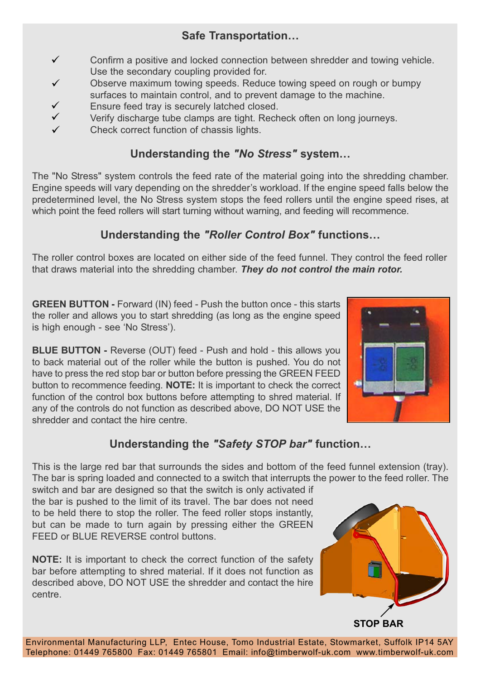## **Safe Transportation…**

- Confirm a positive and locked connection between shredder and towing vehicle. Use the secondary coupling provided for.  $\checkmark$
- Observe maximum towing speeds. Reduce towing speed on rough or bumpy surfaces to maintain control, and to prevent damage to the machine.  $\checkmark$
- Ensure feed tray is securely latched closed.  $\checkmark$
- Verify discharge tube clamps are tight. Recheck often on long journeys.  $\checkmark$
- Check correct function of chassis lights.  $\checkmark$

## **Understanding the** *"No Stress"* **system…**

The "No Stress" system controls the feed rate of the material going into the shredding chamber. Engine speeds will vary depending on the shredder's workload. If the engine speed falls below the predetermined level, the No Stress system stops the feed rollers until the engine speed rises, at which point the feed rollers will start turning without warning, and feeding will recommence.

## **Understanding the** *"Roller Control Box"* **functions…**

The roller control boxes are located on either side of the feed funnel. They control the feed roller that draws material into the shredding chamber. *They do not control the main rotor.*

**GREEN BUTTON -** Forward (IN) feed - Push the button once - this starts the roller and allows you to start shredding (as long as the engine speed is high enough - see 'No Stress').

**BLUE BUTTON -** Reverse (OUT) feed - Push and hold - this allows you to back material out of the roller while the button is pushed. You do not have to press the red stop bar or button before pressing the GREEN FEED button to recommence feeding. **NOTE:** It is important to check the correct function of the control box buttons before attempting to shred material. If any of the controls do not function as described above, DO NOT USE the shredder and contact the hire centre.



## **Understanding the** *"Safety STOP bar"* **function…**

This is the large red bar that surrounds the sides and bottom of the feed funnel extension (tray). The bar is spring loaded and connected to a switch that interrupts the power to the feed roller. The

switch and bar are designed so that the switch is only activated if the bar is pushed to the limit of its travel. The bar does not need to be held there to stop the roller. The feed roller stops instantly, but can be made to turn again by pressing either the GREEN FFED or BLUE REVERSE control buttons.

**NOTE:** It is important to check the correct function of the safety bar before attempting to shred material. If it does not function as described above, DO NOT USE the shredder and contact the hire centre.



Environmental Manufacturing LLP, Entec House, Tomo Industrial Estate, Stowmarket, Suffolk IP14 5AY Telephone: 01449 765800 Fax: 01449 765801 Email: info@timberwolf-uk.com www.timberwolf-uk.com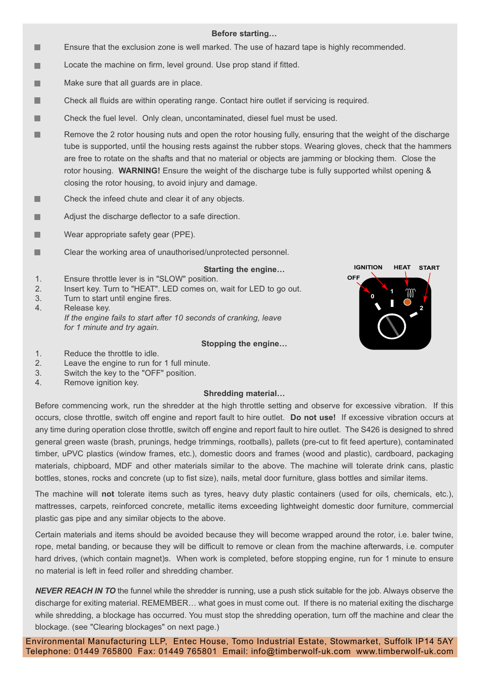#### **Before starting…**

- ٠ Ensure that the exclusion zone is well marked. The use of hazard tape is highly recommended.
- ۰ Locate the machine on firm, level ground. Use prop stand if fitted.
- Make sure that all guards are in place. п
- Check all fluids are within operating range. Contact hire outlet if servicing is required. ۰
- Check the fuel level. Only clean, uncontaminated, diesel fuel must be used. ۰
- Remove the 2 rotor housing nuts and open the rotor housing fully, ensuring that the weight of the discharge ш tube is supported, until the housing rests against the rubber stops. Wearing gloves, check that the hammers are free to rotate on the shafts and that no material or objects are jamming or blocking them. Close the rotor housing. **WARNING!** Ensure the weight of the discharge tube is fully supported whilst opening & closing the rotor housing, to avoid injury and damage.
- Check the infeed chute and clear it of any objects. ■
- ш Adjust the discharge deflector to a safe direction.
- Wear appropriate safety gear (PPE). ٠
- ٠ Clear the working area of unauthorised/unprotected personnel.

#### **Starting the engine…**

- 1. Ensure throttle lever is in "SLOW" position. 2. Insert key. Turn to "HEAT". LED comes on, wait for LED to go out.
- 3. Turn to start until engine fires.
- 4. Release key. *If the engine fails to start after 10 seconds of cranking, leave for 1 minute and try again.*

#### **Stopping the engine…**



- 1. Reduce the throttle to idle.
- 2. Leave the engine to run for 1 full minute.
- 3. Switch the key to the "OFF" position.
- 4. Remove ignition key.

#### **Shredding material…**

Before commencing work, run the shredder at the high throttle setting and observe for excessive vibration. If this occurs, close throttle, switch off engine and report fault to hire outlet. **Do not use!** If excessive vibration occurs at any time during operation close throttle, switch off engine and report fault to hire outlet. The S426 is designed to shred general green waste (brash, prunings, hedge trimmings, rootballs), pallets (pre-cut to fit feed aperture), contaminated timber, uPVC plastics (window frames, etc.), domestic doors and frames (wood and plastic), cardboard, packaging materials, chipboard, MDF and other materials similar to the above. The machine will tolerate drink cans, plastic bottles, stones, rocks and concrete (up to fist size), nails, metal door furniture, glass bottles and similar items.

The machine will **not** tolerate items such as tyres, heavy duty plastic containers (used for oils, chemicals, etc.), mattresses, carpets, reinforced concrete, metallic items exceeding lightweight domestic door furniture, commercial plastic gas pipe and any similar objects to the above.

Certain materials and items should be avoided because they will become wrapped around the rotor, i.e. baler twine, rope, metal banding, or because they will be difficult to remove or clean from the machine afterwards, i.e. computer hard drives, (which contain magnet)s. When work is completed, before stopping engine, run for 1 minute to ensure no material is left in feed roller and shredding chamber.

*NEVER REACH IN TO* the funnel while the shredder is running, use a push stick suitable for the job. Always observe the discharge for exiting material. REMEMBER… what goes in must come out. If there is no material exiting the discharge while shredding, a blockage has occurred. You must stop the shredding operation, turn off the machine and clear the blockage. (see "Clearing blockages" on next page.)

Environmental Manufacturing LLP, Entec House, Tomo Industrial Estate, Stowmarket, Suffolk IP14 5AY Telephone: 01449 765800 Fax: 01449 765801 Email: info@timberwolf-uk.com www.timberwolf-uk.com